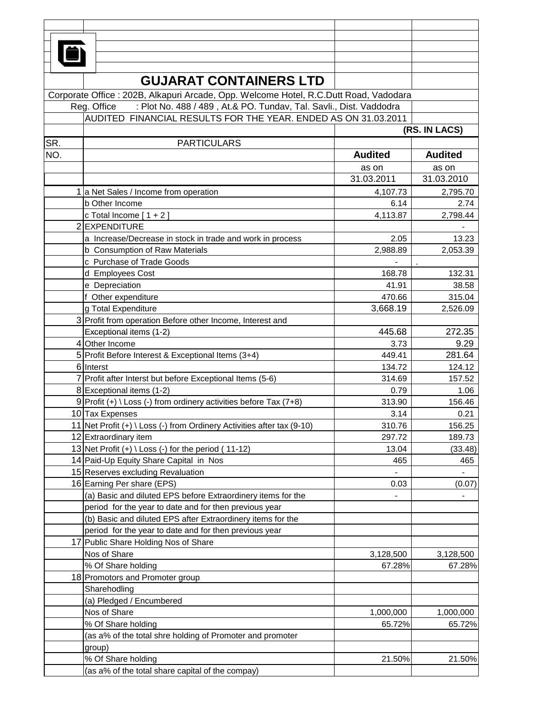| Ō   |                                                                                       |                |                |  |  |
|-----|---------------------------------------------------------------------------------------|----------------|----------------|--|--|
|     |                                                                                       |                |                |  |  |
|     | <b>GUJARAT CONTAINERS LTD</b>                                                         |                |                |  |  |
|     |                                                                                       |                |                |  |  |
|     | Corporate Office : 202B, Alkapuri Arcade, Opp. Welcome Hotel, R.C.Dutt Road, Vadodara |                |                |  |  |
|     | : Plot No. 488 / 489, At.& PO. Tundav, Tal. Savli., Dist. Vaddodra<br>Reg. Office     |                |                |  |  |
|     | AUDITED FINANCIAL RESULTS FOR THE YEAR. ENDED AS ON 31.03.2011                        |                |                |  |  |
|     | (RS. IN LACS)                                                                         |                |                |  |  |
| SR. | <b>PARTICULARS</b>                                                                    |                |                |  |  |
| NO. |                                                                                       | <b>Audited</b> | <b>Audited</b> |  |  |
|     |                                                                                       | as on          | as on          |  |  |
|     |                                                                                       | 31.03.2011     | 31.03.2010     |  |  |
|     | 1 a Net Sales / Income from operation                                                 | 4,107.73       | 2,795.70       |  |  |
|     | <b>b</b> Other Income                                                                 | 6.14           | 2.74           |  |  |
|     | c Total Income $[1 + 2]$                                                              | 4,113.87       | 2,798.44       |  |  |
|     | 2 EXPENDITURE                                                                         |                |                |  |  |
|     | a Increase/Decrease in stock in trade and work in process                             | 2.05           | 13.23          |  |  |
|     | b Consumption of Raw Materials                                                        | 2,988.89       | 2,053.39       |  |  |
|     | c Purchase of Trade Goods                                                             |                |                |  |  |
|     | d Employees Cost                                                                      | 168.78         | 132.31         |  |  |
|     | e Depreciation                                                                        | 41.91          | 38.58          |  |  |
|     | f Other expenditure                                                                   | 470.66         | 315.04         |  |  |
|     | g Total Expenditure                                                                   | 3,668.19       | 2,526.09       |  |  |
|     | 3 Profit from operation Before other Income, Interest and                             |                |                |  |  |
|     | Exceptional items (1-2)                                                               | 445.68         | 272.35         |  |  |
|     | 4 Other Income                                                                        | 3.73           | 9.29           |  |  |
|     | 5 Profit Before Interest & Exceptional Items (3+4)                                    | 449.41         | 281.64         |  |  |
|     | 6 Interst                                                                             | 134.72         | 124.12         |  |  |
|     | 7 Profit after Interst but before Exceptional Items (5-6)                             | 314.69         | 157.52         |  |  |
|     | 8 Exceptional items (1-2)                                                             | 0.79           | 1.06           |  |  |
|     | 9 Profit $(+) \setminus$ Loss $(-)$ from ordinery activities before Tax (7+8)         | 313.90         | 156.46         |  |  |
|     | 10 Tax Expenses                                                                       | 3.14           | 0.21           |  |  |
|     | 11 Net Profit (+) \ Loss (-) from Ordinery Activities after tax (9-10)                | 310.76         | 156.25         |  |  |
|     | 12 Extraordinary item                                                                 | 297.72         | 189.73         |  |  |
|     | 13 Net Profit $(+) \setminus$ Loss $(-)$ for the period $(11-12)$                     | 13.04          | (33.48)        |  |  |
|     | 14 Paid-Up Equity Share Capital in Nos                                                | 465            | 465            |  |  |
|     | 15 Reserves excluding Revaluation                                                     |                |                |  |  |
|     | 16 Earning Per share (EPS)                                                            | 0.03           | (0.07)         |  |  |
|     | (a) Basic and diluted EPS before Extraordinery items for the                          |                | $\blacksquare$ |  |  |
|     | period for the year to date and for then previous year                                |                |                |  |  |
|     | (b) Basic and diluted EPS after Extraordinery items for the                           |                |                |  |  |
|     | period for the year to date and for then previous year                                |                |                |  |  |
|     | 17 Public Share Holding Nos of Share                                                  |                |                |  |  |
|     | Nos of Share                                                                          | 3,128,500      | 3,128,500      |  |  |
|     | % Of Share holding                                                                    | 67.28%         | 67.28%         |  |  |
|     | 18 Promotors and Promoter group                                                       |                |                |  |  |
|     | Sharehodling                                                                          |                |                |  |  |
|     | (a) Pledged / Encumbered                                                              |                |                |  |  |
|     | Nos of Share                                                                          | 1,000,000      | 1,000,000      |  |  |
|     | % Of Share holding                                                                    | 65.72%         | 65.72%         |  |  |
|     | (as a% of the total shre holding of Promoter and promoter                             |                |                |  |  |
|     | group)                                                                                |                |                |  |  |
|     | % Of Share holding                                                                    | 21.50%         | 21.50%         |  |  |
|     | (as a% of the total share capital of the compay)                                      |                |                |  |  |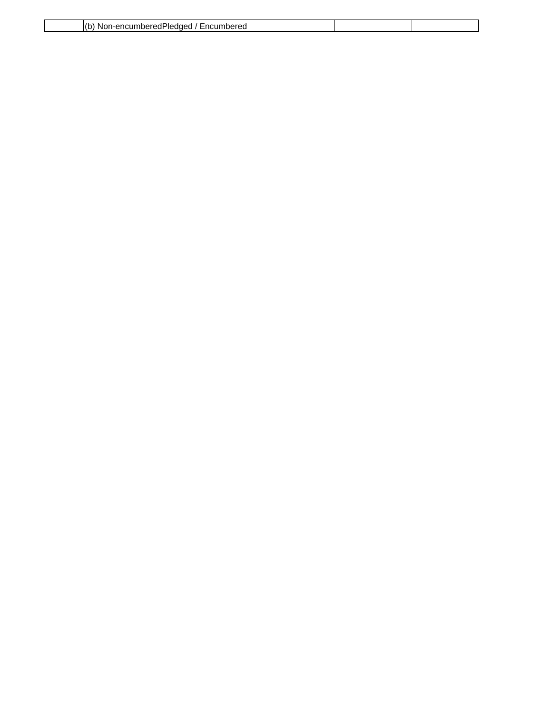| $\sqrt{2}$<br>- - -<br>∽≏umbereu<br>NK<br>. Enci<br>i-enr<br>nnereaPleadea<br>:нг |  |
|-----------------------------------------------------------------------------------|--|
|                                                                                   |  |